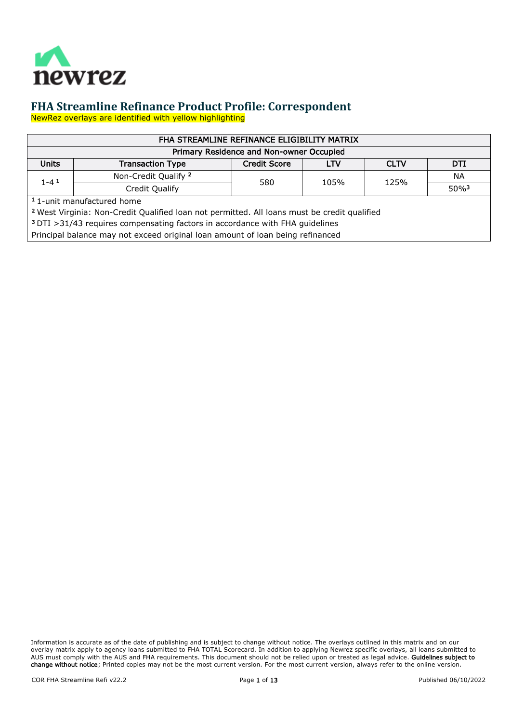

NewRez overlays are identified with yellow highlighting

| FHA STREAMLINE REFINANCE ELIGIBILITY MATRIX                                                             |                                                                                |     |      |      |                     |  |  |  |
|---------------------------------------------------------------------------------------------------------|--------------------------------------------------------------------------------|-----|------|------|---------------------|--|--|--|
|                                                                                                         | Primary Residence and Non-owner Occupied                                       |     |      |      |                     |  |  |  |
| <b>Units</b><br><b>Credit Score</b><br><b>CLTV</b><br>DTI<br><b>LTV</b><br><b>Transaction Type</b>      |                                                                                |     |      |      |                     |  |  |  |
| $1 - 4$ <sup>1</sup>                                                                                    | Non-Credit Qualify 2                                                           | 580 | 105% | 125% | <b>NA</b>           |  |  |  |
|                                                                                                         | Credit Qualify                                                                 |     |      |      | $50\%$ <sup>3</sup> |  |  |  |
|                                                                                                         | <sup>1</sup> 1-unit manufactured home                                          |     |      |      |                     |  |  |  |
| <sup>2</sup> West Virginia: Non-Credit Qualified loan not permitted. All loans must be credit qualified |                                                                                |     |      |      |                     |  |  |  |
| <sup>3</sup> DTI > 31/43 requires compensating factors in accordance with FHA guidelines                |                                                                                |     |      |      |                     |  |  |  |
|                                                                                                         | Principal balance may not exceed original loan amount of loan being refinanced |     |      |      |                     |  |  |  |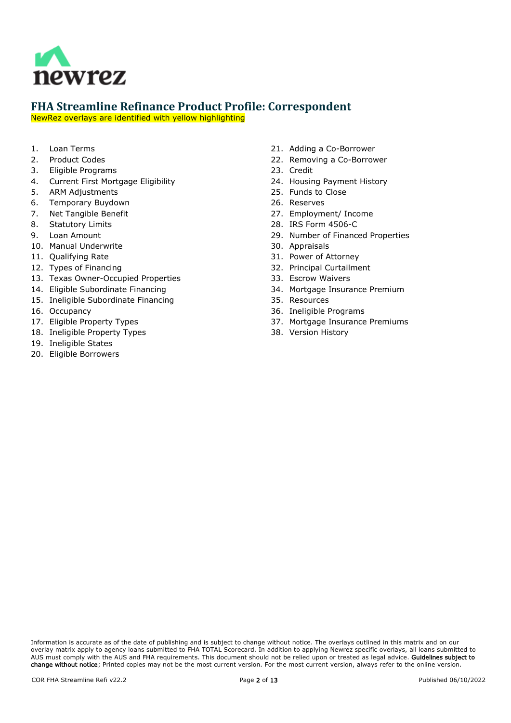

NewRez overlays are identified with yellow highlighting

- 1. [Loan Terms](#page-2-0)
- 2. [Product Codes](#page-2-1)
- 3. [Eligible Programs](#page-2-2)
- 4. [Current First Mortgage Eligibility](#page-2-3)
- 5. [ARM Adjustments](#page-2-4)
- 6. [Temporary Buydown](#page-2-5)
- 7. [Net Tangible Benefit](#page-3-0)
- 8. [Statutory Limits](#page-4-0)
- 9. [Loan Amount](#page-4-1)
- 10. [Manual Underwrite](#page-4-2)
- 11. [Qualifying Rate](#page-4-3)
- 12. [Types of Financing](#page-5-0)
- 13. [Texas Owner-Occupied Properties](#page-5-1)
- 14. [Eligible Subordinate Financing](#page-5-2)
- 15. [Ineligible Subordinate Financing](#page-5-3)
- 16. [Occupancy](#page-5-4)
- 17. [Eligible Property Types](#page-6-0)
- 18. [Ineligible Property Types](#page-6-1)
- 19. [Ineligible States](#page-6-2)
- 20. [Eligible Borrowers](#page-6-3)
- 21. [Adding a Co-Borrower](#page-6-4)
- 22. [Removing a Co-Borrower](#page-6-5)
- 23. [Credit](#page-7-0)
- 24. [Housing Payment History](#page-7-1)
- 25. [Funds to Close](#page-9-0)
- 26. [Reserves](#page-9-1)
- 27. [Employment/ Income](#page-9-2)
- 28. [IRS Form 4506-C](#page-9-3)
- 29. [Number of Financed Properties](#page-10-0)
- 30. [Appraisals](#page-10-1)
- 31. [Power of Attorney](#page-10-2)
- 32. [Principal Curtailment](#page-10-3)
- 33. [Escrow Waivers](#page-10-4)
- 34. [Mortgage Insurance Premium](#page-10-5)
- 35. [Resources](#page-10-6)
- 36. [Ineligible Programs](#page-10-7)
- 37. [Mortgage Insurance Premiums](#page-11-0)
- 38. [Version History](#page-11-1)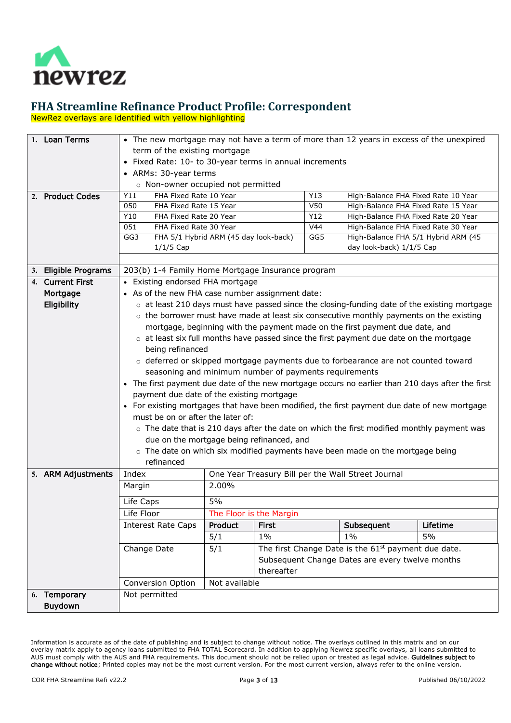

NewRez overlays are identified with yellow highlighting

<span id="page-2-5"></span><span id="page-2-4"></span><span id="page-2-3"></span><span id="page-2-2"></span><span id="page-2-1"></span><span id="page-2-0"></span>

| 1. Loan Terms        | • The new mortgage may not have a term of more than 12 years in excess of the unexpired                           |                                                                        |              |     |                                                                                                  |                                                                                                    |  |
|----------------------|-------------------------------------------------------------------------------------------------------------------|------------------------------------------------------------------------|--------------|-----|--------------------------------------------------------------------------------------------------|----------------------------------------------------------------------------------------------------|--|
|                      | term of the existing mortgage                                                                                     |                                                                        |              |     |                                                                                                  |                                                                                                    |  |
|                      | • Fixed Rate: 10- to 30-year terms in annual increments                                                           |                                                                        |              |     |                                                                                                  |                                                                                                    |  |
|                      | • ARMs: 30-year terms                                                                                             |                                                                        |              |     |                                                                                                  |                                                                                                    |  |
|                      | o Non-owner occupied not permitted                                                                                |                                                                        |              |     |                                                                                                  |                                                                                                    |  |
| 2. Product Codes     | FHA Fixed Rate 10 Year<br>Y11                                                                                     |                                                                        |              | Y13 | High-Balance FHA Fixed Rate 10 Year                                                              |                                                                                                    |  |
|                      | 050<br>FHA Fixed Rate 15 Year                                                                                     |                                                                        |              | V50 | High-Balance FHA Fixed Rate 15 Year                                                              |                                                                                                    |  |
|                      | Y10<br>FHA Fixed Rate 20 Year                                                                                     |                                                                        |              | Y12 | High-Balance FHA Fixed Rate 20 Year                                                              |                                                                                                    |  |
|                      | 051<br>FHA Fixed Rate 30 Year                                                                                     |                                                                        |              | V44 | High-Balance FHA Fixed Rate 30 Year                                                              |                                                                                                    |  |
|                      | GG3<br>FHA 5/1 Hybrid ARM (45 day look-back)                                                                      |                                                                        |              | GG5 | High-Balance FHA 5/1 Hybrid ARM (45                                                              |                                                                                                    |  |
|                      | $1/1/5$ Cap                                                                                                       |                                                                        |              |     | day look-back) 1/1/5 Cap                                                                         |                                                                                                    |  |
|                      |                                                                                                                   |                                                                        |              |     |                                                                                                  |                                                                                                    |  |
| 3. Eligible Programs | 203(b) 1-4 Family Home Mortgage Insurance program                                                                 |                                                                        |              |     |                                                                                                  |                                                                                                    |  |
| 4. Current First     | • Existing endorsed FHA mortgage                                                                                  |                                                                        |              |     |                                                                                                  |                                                                                                    |  |
| Mortgage             | • As of the new FHA case number assignment date:                                                                  |                                                                        |              |     |                                                                                                  |                                                                                                    |  |
| Eligibility          |                                                                                                                   |                                                                        |              |     |                                                                                                  | $\circ$ at least 210 days must have passed since the closing-funding date of the existing mortgage |  |
|                      |                                                                                                                   |                                                                        |              |     | $\circ$ the borrower must have made at least six consecutive monthly payments on the existing    |                                                                                                    |  |
|                      |                                                                                                                   |                                                                        |              |     | mortgage, beginning with the payment made on the first payment due date, and                     |                                                                                                    |  |
|                      |                                                                                                                   |                                                                        |              |     |                                                                                                  |                                                                                                    |  |
|                      | $\circ$ at least six full months have passed since the first payment due date on the mortgage<br>being refinanced |                                                                        |              |     |                                                                                                  |                                                                                                    |  |
|                      |                                                                                                                   |                                                                        |              |     | ○ deferred or skipped mortgage payments due to forbearance are not counted toward                |                                                                                                    |  |
|                      | seasoning and minimum number of payments requirements                                                             |                                                                        |              |     |                                                                                                  |                                                                                                    |  |
|                      | • The first payment due date of the new mortgage occurs no earlier than 210 days after the first                  |                                                                        |              |     |                                                                                                  |                                                                                                    |  |
|                      |                                                                                                                   |                                                                        |              |     |                                                                                                  |                                                                                                    |  |
|                      | payment due date of the existing mortgage                                                                         |                                                                        |              |     |                                                                                                  |                                                                                                    |  |
|                      | For existing mortgages that have been modified, the first payment due date of new mortgage                        |                                                                        |              |     |                                                                                                  |                                                                                                    |  |
|                      | must be on or after the later of:                                                                                 |                                                                        |              |     |                                                                                                  |                                                                                                    |  |
|                      |                                                                                                                   |                                                                        |              |     | $\circ$ The date that is 210 days after the date on which the first modified monthly payment was |                                                                                                    |  |
|                      | due on the mortgage being refinanced, and                                                                         |                                                                        |              |     |                                                                                                  |                                                                                                    |  |
|                      |                                                                                                                   |                                                                        |              |     | o The date on which six modified payments have been made on the mortgage being                   |                                                                                                    |  |
|                      | refinanced                                                                                                        |                                                                        |              |     |                                                                                                  |                                                                                                    |  |
| 5. ARM Adjustments   | Index                                                                                                             |                                                                        |              |     | One Year Treasury Bill per the Wall Street Journal                                               |                                                                                                    |  |
|                      | Margin                                                                                                            | 2.00%                                                                  |              |     |                                                                                                  |                                                                                                    |  |
|                      | Life Caps                                                                                                         | 5%                                                                     |              |     |                                                                                                  |                                                                                                    |  |
|                      | Life Floor                                                                                                        | The Floor is the Margin                                                |              |     |                                                                                                  |                                                                                                    |  |
|                      | <b>Interest Rate Caps</b>                                                                                         | Product                                                                | <b>First</b> |     | Subsequent                                                                                       | Lifetime                                                                                           |  |
|                      |                                                                                                                   | 5/1                                                                    | $1\%$        |     | $1\%$                                                                                            | 5%                                                                                                 |  |
|                      | Change Date                                                                                                       | The first Change Date is the 61 <sup>st</sup> payment due date.<br>5/1 |              |     |                                                                                                  |                                                                                                    |  |
|                      |                                                                                                                   | Subsequent Change Dates are every twelve months                        |              |     |                                                                                                  |                                                                                                    |  |
|                      |                                                                                                                   |                                                                        | thereafter   |     |                                                                                                  |                                                                                                    |  |
|                      | Conversion Option                                                                                                 | Not available                                                          |              |     |                                                                                                  |                                                                                                    |  |
| 6. Temporary         | Not permitted                                                                                                     |                                                                        |              |     |                                                                                                  |                                                                                                    |  |
| <b>Buydown</b>       |                                                                                                                   |                                                                        |              |     |                                                                                                  |                                                                                                    |  |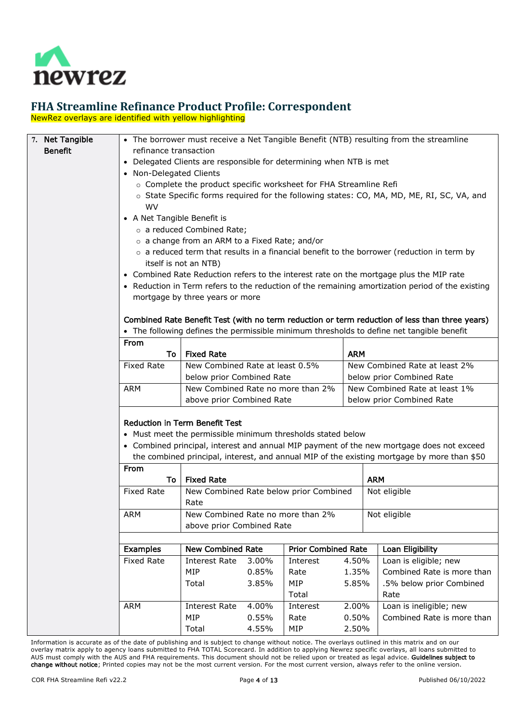

NewRez overlays are identified with yellow highlighting

<span id="page-3-0"></span>

| 7. Net Tangible |                                                                     |                                                                                                                                                                                             |                                                                  |                                        |                           | • The borrower must receive a Net Tangible Benefit (NTB) resulting from the streamline      |  |  |
|-----------------|---------------------------------------------------------------------|---------------------------------------------------------------------------------------------------------------------------------------------------------------------------------------------|------------------------------------------------------------------|----------------------------------------|---------------------------|---------------------------------------------------------------------------------------------|--|--|
| <b>Benefit</b>  |                                                                     | refinance transaction                                                                                                                                                                       |                                                                  |                                        |                           |                                                                                             |  |  |
|                 | • Delegated Clients are responsible for determining when NTB is met |                                                                                                                                                                                             |                                                                  |                                        |                           |                                                                                             |  |  |
|                 | • Non-Delegated Clients                                             |                                                                                                                                                                                             |                                                                  |                                        |                           |                                                                                             |  |  |
|                 |                                                                     | o Complete the product specific worksheet for FHA Streamline Refi                                                                                                                           |                                                                  |                                        |                           |                                                                                             |  |  |
|                 |                                                                     |                                                                                                                                                                                             |                                                                  |                                        |                           | ○ State Specific forms required for the following states: CO, MA, MD, ME, RI, SC, VA, and   |  |  |
|                 | WV                                                                  |                                                                                                                                                                                             |                                                                  |                                        |                           |                                                                                             |  |  |
|                 | • A Net Tangible Benefit is                                         |                                                                                                                                                                                             |                                                                  |                                        |                           |                                                                                             |  |  |
|                 |                                                                     | o a reduced Combined Rate;                                                                                                                                                                  |                                                                  |                                        |                           |                                                                                             |  |  |
|                 |                                                                     | o a change from an ARM to a Fixed Rate; and/or                                                                                                                                              |                                                                  |                                        |                           |                                                                                             |  |  |
|                 |                                                                     |                                                                                                                                                                                             |                                                                  |                                        |                           |                                                                                             |  |  |
|                 |                                                                     | $\circ$ a reduced term that results in a financial benefit to the borrower (reduction in term by<br>itself is not an NTB)                                                                   |                                                                  |                                        |                           |                                                                                             |  |  |
|                 |                                                                     |                                                                                                                                                                                             |                                                                  |                                        |                           |                                                                                             |  |  |
|                 |                                                                     | • Combined Rate Reduction refers to the interest rate on the mortgage plus the MIP rate<br>• Reduction in Term refers to the reduction of the remaining amortization period of the existing |                                                                  |                                        |                           |                                                                                             |  |  |
|                 |                                                                     | mortgage by three years or more                                                                                                                                                             |                                                                  |                                        |                           |                                                                                             |  |  |
|                 |                                                                     |                                                                                                                                                                                             |                                                                  |                                        |                           |                                                                                             |  |  |
|                 |                                                                     | Combined Rate Benefit Test (with no term reduction or term reduction of less than three years)                                                                                              |                                                                  |                                        |                           |                                                                                             |  |  |
|                 |                                                                     |                                                                                                                                                                                             |                                                                  |                                        |                           | • The following defines the permissible minimum thresholds to define net tangible benefit   |  |  |
|                 | From                                                                |                                                                                                                                                                                             |                                                                  |                                        |                           |                                                                                             |  |  |
|                 | To                                                                  | <b>Fixed Rate</b>                                                                                                                                                                           |                                                                  |                                        | <b>ARM</b>                |                                                                                             |  |  |
|                 | <b>Fixed Rate</b>                                                   |                                                                                                                                                                                             | New Combined Rate at least 0.5%<br>New Combined Rate at least 2% |                                        |                           |                                                                                             |  |  |
|                 |                                                                     | below prior Combined Rate                                                                                                                                                                   |                                                                  |                                        | below prior Combined Rate |                                                                                             |  |  |
|                 | <b>ARM</b>                                                          | New Combined Rate no more than 2%                                                                                                                                                           |                                                                  |                                        |                           | New Combined Rate at least 1%                                                               |  |  |
|                 |                                                                     | above prior Combined Rate                                                                                                                                                                   |                                                                  |                                        |                           | below prior Combined Rate                                                                   |  |  |
|                 |                                                                     |                                                                                                                                                                                             |                                                                  |                                        |                           |                                                                                             |  |  |
|                 |                                                                     | Reduction in Term Benefit Test                                                                                                                                                              |                                                                  |                                        |                           |                                                                                             |  |  |
|                 |                                                                     | • Must meet the permissible minimum thresholds stated below                                                                                                                                 |                                                                  |                                        |                           |                                                                                             |  |  |
|                 |                                                                     |                                                                                                                                                                                             |                                                                  |                                        |                           | • Combined principal, interest and annual MIP payment of the new mortgage does not exceed   |  |  |
|                 |                                                                     |                                                                                                                                                                                             |                                                                  |                                        |                           | the combined principal, interest, and annual MIP of the existing mortgage by more than \$50 |  |  |
|                 | From                                                                |                                                                                                                                                                                             |                                                                  |                                        |                           |                                                                                             |  |  |
|                 | To                                                                  | <b>Fixed Rate</b>                                                                                                                                                                           |                                                                  |                                        |                           | <b>ARM</b>                                                                                  |  |  |
|                 | <b>Fixed Rate</b>                                                   |                                                                                                                                                                                             |                                                                  | New Combined Rate below prior Combined |                           | Not eligible                                                                                |  |  |
|                 |                                                                     | Rate                                                                                                                                                                                        |                                                                  |                                        |                           |                                                                                             |  |  |
|                 | ARM                                                                 | New Combined Rate no more than 2%                                                                                                                                                           |                                                                  |                                        |                           | Not eligible                                                                                |  |  |
|                 |                                                                     | above prior Combined Rate                                                                                                                                                                   |                                                                  |                                        |                           |                                                                                             |  |  |
|                 |                                                                     |                                                                                                                                                                                             |                                                                  |                                        |                           |                                                                                             |  |  |
|                 | Examples                                                            | <b>New Combined Rate</b><br><b>Prior Combined Rate</b>                                                                                                                                      |                                                                  |                                        |                           | Loan Eligibility                                                                            |  |  |
|                 | <b>Fixed Rate</b>                                                   |                                                                                                                                                                                             | <b>Interest Rate</b><br>3.00%<br>Interest                        |                                        | 4.50%                     | Loan is eligible; new                                                                       |  |  |
|                 |                                                                     | MIP                                                                                                                                                                                         | 0.85%                                                            | Rate                                   | 1.35%                     | Combined Rate is more than                                                                  |  |  |
|                 |                                                                     | Total                                                                                                                                                                                       | 3.85%                                                            | MIP                                    | 5.85%                     | .5% below prior Combined                                                                    |  |  |
|                 |                                                                     |                                                                                                                                                                                             |                                                                  | Total                                  |                           | Rate                                                                                        |  |  |
|                 | <b>ARM</b>                                                          | <b>Interest Rate</b>                                                                                                                                                                        | 4.00%                                                            | Interest                               | 2.00%                     | Loan is ineligible; new                                                                     |  |  |
|                 |                                                                     | <b>MIP</b>                                                                                                                                                                                  | 0.55%                                                            | Rate                                   | 0.50%                     | Combined Rate is more than                                                                  |  |  |
|                 |                                                                     | Total                                                                                                                                                                                       | 4.55%                                                            | MIP                                    | 2.50%                     |                                                                                             |  |  |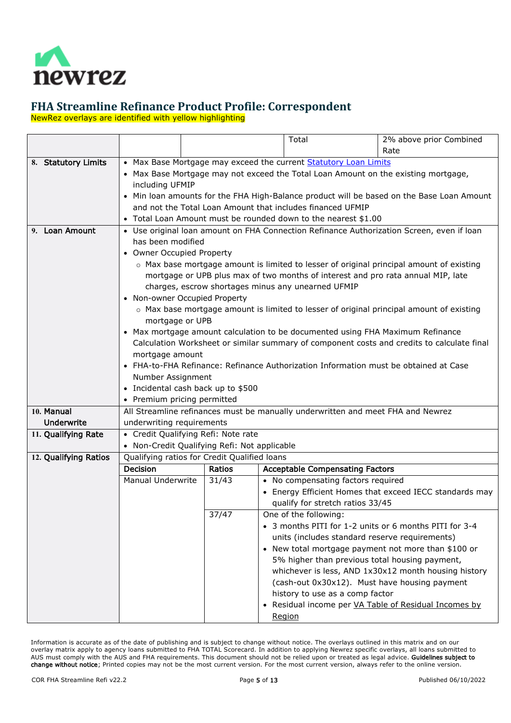

NewRez overlays are identified with yellow highlighting

<span id="page-4-3"></span><span id="page-4-2"></span><span id="page-4-1"></span><span id="page-4-0"></span>

|                       |                                                                                              |                                                            |  | Total                                                                                | 2% above prior Combined                                                                    |  |  |
|-----------------------|----------------------------------------------------------------------------------------------|------------------------------------------------------------|--|--------------------------------------------------------------------------------------|--------------------------------------------------------------------------------------------|--|--|
|                       |                                                                                              |                                                            |  |                                                                                      | Rate                                                                                       |  |  |
| 8. Statutory Limits   |                                                                                              |                                                            |  | • Max Base Mortgage may exceed the current Statutory Loan Limits                     |                                                                                            |  |  |
|                       | • Max Base Mortgage may not exceed the Total Loan Amount on the existing mortgage,           |                                                            |  |                                                                                      |                                                                                            |  |  |
|                       | including UFMIP                                                                              |                                                            |  |                                                                                      |                                                                                            |  |  |
|                       |                                                                                              |                                                            |  |                                                                                      | • Min loan amounts for the FHA High-Balance product will be based on the Base Loan Amount  |  |  |
|                       |                                                                                              | and not the Total Loan Amount that includes financed UFMIP |  |                                                                                      |                                                                                            |  |  |
|                       |                                                                                              |                                                            |  | • Total Loan Amount must be rounded down to the nearest \$1.00                       |                                                                                            |  |  |
| 9. Loan Amount        |                                                                                              |                                                            |  |                                                                                      | • Use original loan amount on FHA Connection Refinance Authorization Screen, even if loan  |  |  |
|                       | has been modified                                                                            |                                                            |  |                                                                                      |                                                                                            |  |  |
|                       | • Owner Occupied Property                                                                    |                                                            |  |                                                                                      |                                                                                            |  |  |
|                       |                                                                                              |                                                            |  | mortgage or UPB plus max of two months of interest and pro rata annual MIP, late     | ○ Max base mortgage amount is limited to lesser of original principal amount of existing   |  |  |
|                       |                                                                                              |                                                            |  | charges, escrow shortages minus any unearned UFMIP                                   |                                                                                            |  |  |
|                       | • Non-owner Occupied Property                                                                |                                                            |  |                                                                                      |                                                                                            |  |  |
|                       |                                                                                              |                                                            |  |                                                                                      | ○ Max base mortgage amount is limited to lesser of original principal amount of existing   |  |  |
|                       | mortgage or UPB                                                                              |                                                            |  |                                                                                      |                                                                                            |  |  |
|                       |                                                                                              |                                                            |  | • Max mortgage amount calculation to be documented using FHA Maximum Refinance       |                                                                                            |  |  |
|                       |                                                                                              |                                                            |  |                                                                                      | Calculation Worksheet or similar summary of component costs and credits to calculate final |  |  |
|                       | mortgage amount                                                                              |                                                            |  |                                                                                      |                                                                                            |  |  |
|                       |                                                                                              |                                                            |  | • FHA-to-FHA Refinance: Refinance Authorization Information must be obtained at Case |                                                                                            |  |  |
|                       | Number Assignment                                                                            |                                                            |  |                                                                                      |                                                                                            |  |  |
|                       | • Incidental cash back up to \$500                                                           |                                                            |  |                                                                                      |                                                                                            |  |  |
|                       | • Premium pricing permitted                                                                  |                                                            |  |                                                                                      |                                                                                            |  |  |
| 10. Manual            |                                                                                              |                                                            |  | All Streamline refinances must be manually underwritten and meet FHA and Newrez      |                                                                                            |  |  |
| <b>Underwrite</b>     | underwriting requirements                                                                    |                                                            |  |                                                                                      |                                                                                            |  |  |
| 11. Qualifying Rate   | • Credit Qualifying Refi: Note rate                                                          |                                                            |  |                                                                                      |                                                                                            |  |  |
| 12. Qualifying Ratios | • Non-Credit Qualifying Refi: Not applicable<br>Qualifying ratios for Credit Qualified loans |                                                            |  |                                                                                      |                                                                                            |  |  |
|                       | <b>Decision</b>                                                                              | Ratios                                                     |  | <b>Acceptable Compensating Factors</b>                                               |                                                                                            |  |  |
|                       | Manual Underwrite                                                                            | 31/43                                                      |  | • No compensating factors required                                                   |                                                                                            |  |  |
|                       |                                                                                              |                                                            |  |                                                                                      | • Energy Efficient Homes that exceed IECC standards may                                    |  |  |
|                       |                                                                                              |                                                            |  | qualify for stretch ratios 33/45                                                     |                                                                                            |  |  |
|                       |                                                                                              | 37/47                                                      |  | One of the following:                                                                |                                                                                            |  |  |
|                       |                                                                                              |                                                            |  |                                                                                      | • 3 months PITI for 1-2 units or 6 months PITI for 3-4                                     |  |  |
|                       |                                                                                              |                                                            |  | units (includes standard reserve requirements)                                       |                                                                                            |  |  |
|                       |                                                                                              | • New total mortgage payment not more than \$100 or        |  |                                                                                      |                                                                                            |  |  |
|                       |                                                                                              | 5% higher than previous total housing payment,             |  |                                                                                      |                                                                                            |  |  |
|                       |                                                                                              |                                                            |  |                                                                                      | whichever is less, AND 1x30x12 month housing history                                       |  |  |
|                       |                                                                                              |                                                            |  | (cash-out 0x30x12). Must have housing payment                                        |                                                                                            |  |  |
|                       |                                                                                              |                                                            |  | history to use as a comp factor                                                      |                                                                                            |  |  |
|                       |                                                                                              |                                                            |  |                                                                                      | • Residual income per VA Table of Residual Incomes by                                      |  |  |
|                       | Region                                                                                       |                                                            |  |                                                                                      |                                                                                            |  |  |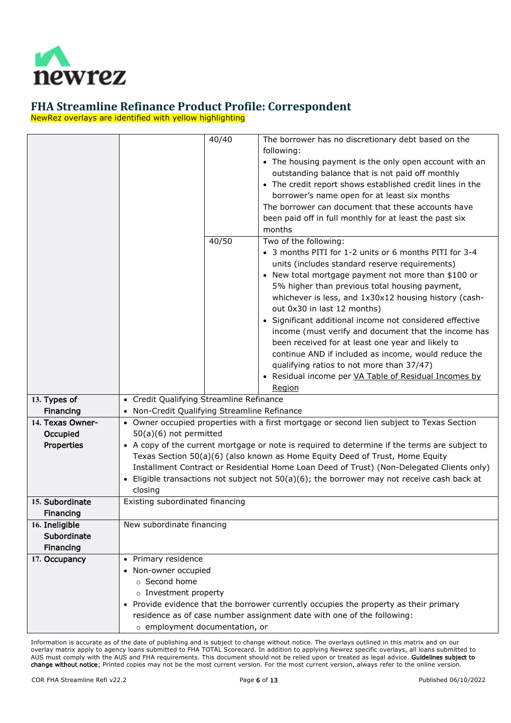

NewRez overlays are identified with yellow highlighting

<span id="page-5-4"></span><span id="page-5-3"></span><span id="page-5-2"></span><span id="page-5-1"></span><span id="page-5-0"></span>

|                  | 40/40                                        | The borrower has no discretionary debt based on the                                            |
|------------------|----------------------------------------------|------------------------------------------------------------------------------------------------|
|                  |                                              | following:                                                                                     |
|                  |                                              | • The housing payment is the only open account with an                                         |
|                  |                                              | outstanding balance that is not paid off monthly                                               |
|                  |                                              | • The credit report shows established credit lines in the                                      |
|                  |                                              | borrower's name open for at least six months                                                   |
|                  |                                              | The borrower can document that these accounts have                                             |
|                  |                                              | been paid off in full monthly for at least the past six                                        |
|                  |                                              | months                                                                                         |
|                  | 40/50                                        | Two of the following:                                                                          |
|                  |                                              | • 3 months PITI for 1-2 units or 6 months PITI for 3-4                                         |
|                  |                                              | units (includes standard reserve requirements)                                                 |
|                  |                                              | • New total mortgage payment not more than \$100 or                                            |
|                  |                                              | 5% higher than previous total housing payment,                                                 |
|                  |                                              | whichever is less, and 1x30x12 housing history (cash-                                          |
|                  |                                              | out 0x30 in last 12 months)                                                                    |
|                  |                                              | • Significant additional income not considered effective                                       |
|                  |                                              | income (must verify and document that the income has                                           |
|                  |                                              | been received for at least one year and likely to                                              |
|                  |                                              | continue AND if included as income, would reduce the                                           |
|                  |                                              | qualifying ratios to not more than 37/47)                                                      |
|                  |                                              | • Residual income per VA Table of Residual Incomes by                                          |
|                  |                                              | Region                                                                                         |
| 13. Types of     | • Credit Qualifying Streamline Refinance     |                                                                                                |
| Financing        | • Non-Credit Qualifying Streamline Refinance |                                                                                                |
| 14. Texas Owner- |                                              | • Owner occupied properties with a first mortgage or second lien subject to Texas Section      |
| Occupied         | 50(a)(6) not permitted                       |                                                                                                |
| Properties       |                                              | • A copy of the current mortgage or note is required to determine if the terms are subject to  |
|                  |                                              | Texas Section 50(a)(6) (also known as Home Equity Deed of Trust, Home Equity                   |
|                  |                                              | Installment Contract or Residential Home Loan Deed of Trust) (Non-Delegated Clients only)      |
|                  |                                              | • Eligible transactions not subject not $50(a)(6)$ ; the borrower may not receive cash back at |
|                  | closing                                      |                                                                                                |
| 15. Subordinate  | Existing subordinated financing              |                                                                                                |
| <b>Financing</b> |                                              |                                                                                                |
| 16. Ineligible   | New subordinate financing                    |                                                                                                |
| Subordinate      |                                              |                                                                                                |
| Financing        |                                              |                                                                                                |
| 17. Occupancy    | Primary residence<br>$\bullet$               |                                                                                                |
|                  | • Non-owner occupied                         |                                                                                                |
|                  | o Second home                                |                                                                                                |
|                  | o Investment property                        |                                                                                                |
|                  |                                              | Provide evidence that the borrower currently occupies the property as their primary            |
|                  |                                              | residence as of case number assignment date with one of the following:                         |
|                  | o employment documentation, or               |                                                                                                |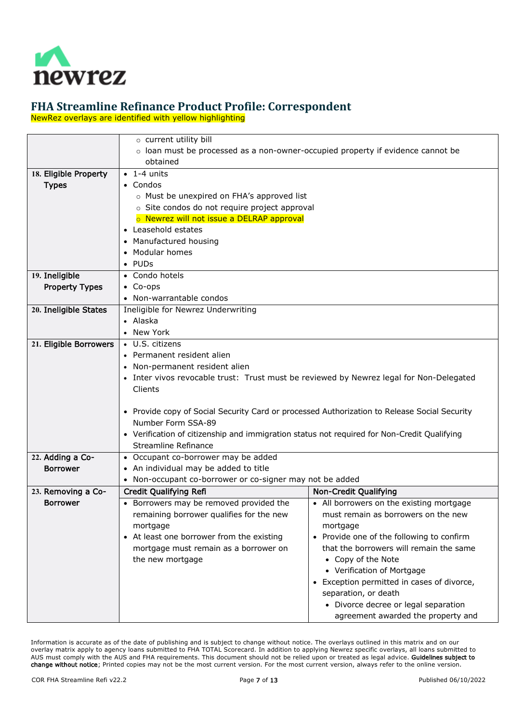

NewRez overlays are identified with yellow highlighting

<span id="page-6-5"></span><span id="page-6-4"></span><span id="page-6-3"></span><span id="page-6-2"></span><span id="page-6-1"></span><span id="page-6-0"></span>

|                        | o current utility bill                                                                          |                                                       |  |  |  |  |
|------------------------|-------------------------------------------------------------------------------------------------|-------------------------------------------------------|--|--|--|--|
|                        | $\circ$ loan must be processed as a non-owner-occupied property if evidence cannot be           |                                                       |  |  |  |  |
|                        | obtained                                                                                        |                                                       |  |  |  |  |
| 18. Eligible Property  | $\bullet$ 1-4 units                                                                             |                                                       |  |  |  |  |
| <b>Types</b>           | • Condos                                                                                        |                                                       |  |  |  |  |
|                        | o Must be unexpired on FHA's approved list                                                      |                                                       |  |  |  |  |
|                        | o Site condos do not require project approval                                                   |                                                       |  |  |  |  |
|                        | o Newrez will not issue a DELRAP approval                                                       |                                                       |  |  |  |  |
|                        | • Leasehold estates                                                                             |                                                       |  |  |  |  |
|                        | Manufactured housing                                                                            |                                                       |  |  |  |  |
|                        | Modular homes                                                                                   |                                                       |  |  |  |  |
|                        | $\bullet$ PUDs                                                                                  |                                                       |  |  |  |  |
| 19. Ineligible         | • Condo hotels                                                                                  |                                                       |  |  |  |  |
| <b>Property Types</b>  | $\bullet$ Co-ops                                                                                |                                                       |  |  |  |  |
|                        | • Non-warrantable condos                                                                        |                                                       |  |  |  |  |
| 20. Ineligible States  | Ineligible for Newrez Underwriting                                                              |                                                       |  |  |  |  |
|                        | • Alaska                                                                                        |                                                       |  |  |  |  |
|                        | • New York                                                                                      |                                                       |  |  |  |  |
| 21. Eligible Borrowers | • U.S. citizens                                                                                 |                                                       |  |  |  |  |
|                        | Permanent resident alien                                                                        |                                                       |  |  |  |  |
|                        | • Non-permanent resident alien                                                                  |                                                       |  |  |  |  |
|                        | • Inter vivos revocable trust: Trust must be reviewed by Newrez legal for Non-Delegated         |                                                       |  |  |  |  |
|                        | Clients                                                                                         |                                                       |  |  |  |  |
|                        |                                                                                                 |                                                       |  |  |  |  |
|                        | • Provide copy of Social Security Card or processed Authorization to Release Social Security    |                                                       |  |  |  |  |
|                        | Number Form SSA-89                                                                              |                                                       |  |  |  |  |
|                        | • Verification of citizenship and immigration status not required for Non-Credit Qualifying     |                                                       |  |  |  |  |
|                        | Streamline Refinance                                                                            |                                                       |  |  |  |  |
| 22. Adding a Co-       | • Occupant co-borrower may be added                                                             |                                                       |  |  |  |  |
| <b>Borrower</b>        | • An individual may be added to title                                                           |                                                       |  |  |  |  |
|                        | • Non-occupant co-borrower or co-signer may not be added                                        |                                                       |  |  |  |  |
| 23. Removing a Co-     | Credit Qualifying Refi                                                                          | Non-Credit Qualifying                                 |  |  |  |  |
| <b>Borrower</b>        | • Borrowers may be removed provided the                                                         | • All borrowers on the existing mortgage              |  |  |  |  |
|                        | remaining borrower qualifies for the new                                                        | must remain as borrowers on the new                   |  |  |  |  |
|                        | mortgage                                                                                        | mortgage                                              |  |  |  |  |
|                        | At least one borrower from the existing<br>Provide one of the following to confirm<br>$\bullet$ |                                                       |  |  |  |  |
|                        | that the borrowers will remain the same<br>mortgage must remain as a borrower on                |                                                       |  |  |  |  |
|                        | the new mortgage                                                                                | • Copy of the Note                                    |  |  |  |  |
|                        |                                                                                                 | • Verification of Mortgage                            |  |  |  |  |
|                        |                                                                                                 | Exception permitted in cases of divorce,<br>$\bullet$ |  |  |  |  |
|                        |                                                                                                 | separation, or death                                  |  |  |  |  |
|                        |                                                                                                 | • Divorce decree or legal separation                  |  |  |  |  |
|                        |                                                                                                 | agreement awarded the property and                    |  |  |  |  |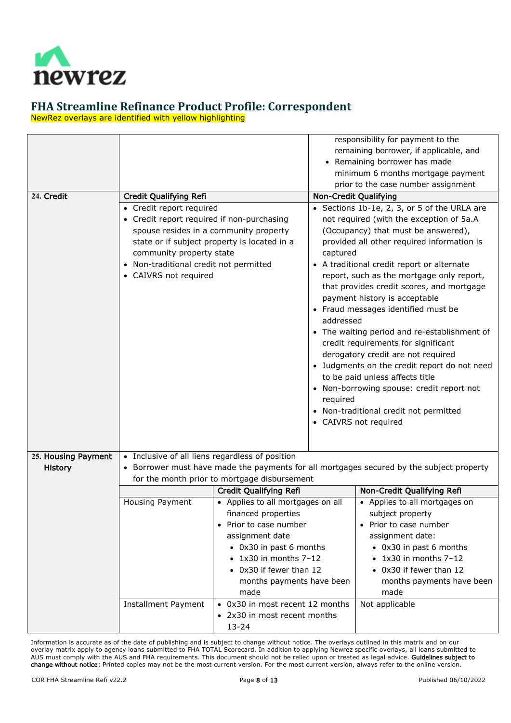

NewRez overlays are identified with yellow highlighting

<span id="page-7-1"></span><span id="page-7-0"></span>

| 24. Credit          | Credit Qualifying Refi<br>• Credit report required<br>• Credit report required if non-purchasing<br>spouse resides in a community property<br>state or if subject property is located in a<br>community property state<br>Non-traditional credit not permitted<br>$\bullet$<br>• CAIVRS not required |                                                                                                                                                                                                                                                                    | responsibility for payment to the<br>remaining borrower, if applicable, and<br>Remaining borrower has made<br>minimum 6 months mortgage payment<br>prior to the case number assignment<br>Non-Credit Qualifying<br>• Sections 1b-1e, 2, 3, or 5 of the URLA are<br>not required (with the exception of 5a.A<br>(Occupancy) that must be answered),<br>provided all other required information is<br>captured<br>A traditional credit report or alternate<br>report, such as the mortgage only report,<br>that provides credit scores, and mortgage<br>payment history is acceptable<br>• Fraud messages identified must be<br>addressed<br>• The waiting period and re-establishment of<br>credit requirements for significant<br>derogatory credit are not required<br>• Judgments on the credit report do not need<br>to be paid unless affects title<br>Non-borrowing spouse: credit report not<br>required<br>Non-traditional credit not permitted<br>• CAIVRS not required |                                                                                                                                                                                                                           |  |
|---------------------|------------------------------------------------------------------------------------------------------------------------------------------------------------------------------------------------------------------------------------------------------------------------------------------------------|--------------------------------------------------------------------------------------------------------------------------------------------------------------------------------------------------------------------------------------------------------------------|---------------------------------------------------------------------------------------------------------------------------------------------------------------------------------------------------------------------------------------------------------------------------------------------------------------------------------------------------------------------------------------------------------------------------------------------------------------------------------------------------------------------------------------------------------------------------------------------------------------------------------------------------------------------------------------------------------------------------------------------------------------------------------------------------------------------------------------------------------------------------------------------------------------------------------------------------------------------------------|---------------------------------------------------------------------------------------------------------------------------------------------------------------------------------------------------------------------------|--|
|                     |                                                                                                                                                                                                                                                                                                      |                                                                                                                                                                                                                                                                    |                                                                                                                                                                                                                                                                                                                                                                                                                                                                                                                                                                                                                                                                                                                                                                                                                                                                                                                                                                                 |                                                                                                                                                                                                                           |  |
| 25. Housing Payment | • Inclusive of all liens regardless of position                                                                                                                                                                                                                                                      |                                                                                                                                                                                                                                                                    |                                                                                                                                                                                                                                                                                                                                                                                                                                                                                                                                                                                                                                                                                                                                                                                                                                                                                                                                                                                 |                                                                                                                                                                                                                           |  |
| <b>History</b>      |                                                                                                                                                                                                                                                                                                      |                                                                                                                                                                                                                                                                    |                                                                                                                                                                                                                                                                                                                                                                                                                                                                                                                                                                                                                                                                                                                                                                                                                                                                                                                                                                                 | Borrower must have made the payments for all mortgages secured by the subject property                                                                                                                                    |  |
|                     |                                                                                                                                                                                                                                                                                                      | for the month prior to mortgage disbursement                                                                                                                                                                                                                       |                                                                                                                                                                                                                                                                                                                                                                                                                                                                                                                                                                                                                                                                                                                                                                                                                                                                                                                                                                                 |                                                                                                                                                                                                                           |  |
|                     |                                                                                                                                                                                                                                                                                                      | Credit Qualifying Refi                                                                                                                                                                                                                                             |                                                                                                                                                                                                                                                                                                                                                                                                                                                                                                                                                                                                                                                                                                                                                                                                                                                                                                                                                                                 | Non-Credit Qualifying Refi                                                                                                                                                                                                |  |
|                     | Housing Payment                                                                                                                                                                                                                                                                                      | • Applies to all mortgages on all<br>financed properties<br>Prior to case number<br>assignment date<br>• 0x30 in past 6 months<br>$\bullet$ 1x30 in months 7-12<br>• 0x30 if fewer than 12<br>months payments have been<br>made<br>• 0x30 in most recent 12 months |                                                                                                                                                                                                                                                                                                                                                                                                                                                                                                                                                                                                                                                                                                                                                                                                                                                                                                                                                                                 | • Applies to all mortgages on<br>subject property<br>Prior to case number<br>assignment date:<br>• 0x30 in past 6 months<br>$\bullet$ 1x30 in months 7-12<br>• 0x30 if fewer than 12<br>months payments have been<br>made |  |
|                     | Installment Payment                                                                                                                                                                                                                                                                                  | • 2x30 in most recent months<br>$13 - 24$                                                                                                                                                                                                                          |                                                                                                                                                                                                                                                                                                                                                                                                                                                                                                                                                                                                                                                                                                                                                                                                                                                                                                                                                                                 | Not applicable                                                                                                                                                                                                            |  |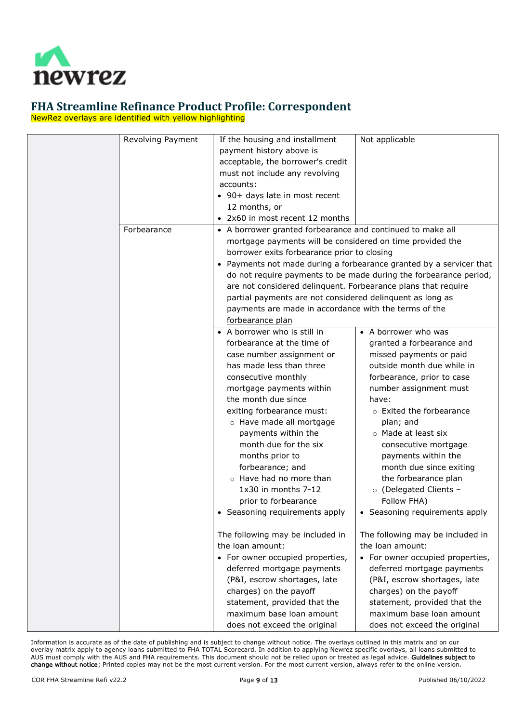

NewRez overlays are identified with yellow highlighting

| Revolving Payment | If the housing and installment                                | Not applicable                                                      |
|-------------------|---------------------------------------------------------------|---------------------------------------------------------------------|
|                   | payment history above is                                      |                                                                     |
|                   | acceptable, the borrower's credit                             |                                                                     |
|                   | must not include any revolving                                |                                                                     |
|                   | accounts:                                                     |                                                                     |
|                   | • 90+ days late in most recent                                |                                                                     |
|                   | 12 months, or                                                 |                                                                     |
|                   | • 2x60 in most recent 12 months                               |                                                                     |
| Forbearance       | • A borrower granted forbearance and continued to make all    |                                                                     |
|                   | mortgage payments will be considered on time provided the     |                                                                     |
|                   | borrower exits forbearance prior to closing                   |                                                                     |
|                   |                                                               | • Payments not made during a forbearance granted by a servicer that |
|                   |                                                               | do not require payments to be made during the forbearance period,   |
|                   | are not considered delinquent. Forbearance plans that require |                                                                     |
|                   | partial payments are not considered delinquent as long as     |                                                                     |
|                   | payments are made in accordance with the terms of the         |                                                                     |
|                   | forbearance plan                                              |                                                                     |
|                   | • A borrower who is still in                                  | • A borrower who was                                                |
|                   | forbearance at the time of                                    | granted a forbearance and                                           |
|                   | case number assignment or                                     | missed payments or paid                                             |
|                   | has made less than three                                      | outside month due while in                                          |
|                   | consecutive monthly                                           | forbearance, prior to case                                          |
|                   | mortgage payments within                                      | number assignment must                                              |
|                   | the month due since                                           | have:                                                               |
|                   | exiting forbearance must:                                     | o Exited the forbearance                                            |
|                   | o Have made all mortgage                                      | plan; and                                                           |
|                   | payments within the                                           | o Made at least six                                                 |
|                   | month due for the six                                         | consecutive mortgage                                                |
|                   | months prior to                                               | payments within the                                                 |
|                   | forbearance; and                                              | month due since exiting                                             |
|                   | o Have had no more than                                       | the forbearance plan                                                |
|                   | 1x30 in months 7-12                                           | o (Delegated Clients -                                              |
|                   | prior to forbearance                                          | Follow FHA)                                                         |
|                   | • Seasoning requirements apply                                | • Seasoning requirements apply                                      |
|                   |                                                               |                                                                     |
|                   | The following may be included in                              | The following may be included in                                    |
|                   | the loan amount:                                              | the loan amount:                                                    |
|                   | • For owner occupied properties,                              | • For owner occupied properties,                                    |
|                   | deferred mortgage payments                                    | deferred mortgage payments                                          |
|                   | (P&I, escrow shortages, late                                  | (P&I, escrow shortages, late                                        |
|                   | charges) on the payoff                                        | charges) on the payoff                                              |
|                   | statement, provided that the                                  | statement, provided that the                                        |
|                   | maximum base loan amount                                      | maximum base loan amount                                            |
|                   | does not exceed the original                                  | does not exceed the original                                        |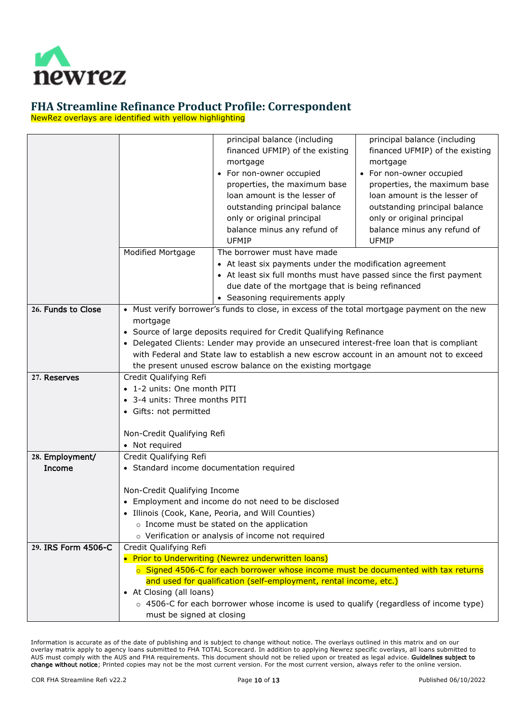

NewRez overlays are identified with yellow highlighting

<span id="page-9-3"></span><span id="page-9-2"></span><span id="page-9-1"></span><span id="page-9-0"></span>

|                                  | principal balance (including<br>principal balance (including<br>financed UFMIP) of the existing<br>financed UFMIP) of the existing<br>mortgage<br>mortgage<br>• For non-owner occupied<br>• For non-owner occupied<br>properties, the maximum base<br>properties, the maximum base<br>loan amount is the lesser of<br>loan amount is the lesser of<br>outstanding principal balance<br>outstanding principal balance<br>only or original principal<br>only or original principal<br>balance minus any refund of<br>balance minus any refund of<br><b>UFMIP</b><br><b>UFMIP</b><br>The borrower must have made<br>Modified Mortgage<br>• At least six payments under the modification agreement |  |  |  |  |
|----------------------------------|------------------------------------------------------------------------------------------------------------------------------------------------------------------------------------------------------------------------------------------------------------------------------------------------------------------------------------------------------------------------------------------------------------------------------------------------------------------------------------------------------------------------------------------------------------------------------------------------------------------------------------------------------------------------------------------------|--|--|--|--|
|                                  | • At least six full months must have passed since the first payment<br>due date of the mortgage that is being refinanced                                                                                                                                                                                                                                                                                                                                                                                                                                                                                                                                                                       |  |  |  |  |
| 26. Funds to Close               | • Seasoning requirements apply<br>• Must verify borrower's funds to close, in excess of the total mortgage payment on the new<br>mortgage<br>• Source of large deposits required for Credit Qualifying Refinance<br>• Delegated Clients: Lender may provide an unsecured interest-free loan that is compliant<br>with Federal and State law to establish a new escrow account in an amount not to exceed                                                                                                                                                                                                                                                                                       |  |  |  |  |
| 27. Reserves                     | the present unused escrow balance on the existing mortgage<br>Credit Qualifying Refi                                                                                                                                                                                                                                                                                                                                                                                                                                                                                                                                                                                                           |  |  |  |  |
|                                  | • 1-2 units: One month PITI<br>• 3-4 units: Three months PITI<br>• Gifts: not permitted                                                                                                                                                                                                                                                                                                                                                                                                                                                                                                                                                                                                        |  |  |  |  |
|                                  | Non-Credit Qualifying Refi                                                                                                                                                                                                                                                                                                                                                                                                                                                                                                                                                                                                                                                                     |  |  |  |  |
|                                  | • Not required                                                                                                                                                                                                                                                                                                                                                                                                                                                                                                                                                                                                                                                                                 |  |  |  |  |
| 28. Employment/<br><b>Income</b> | Credit Qualifying Refi                                                                                                                                                                                                                                                                                                                                                                                                                                                                                                                                                                                                                                                                         |  |  |  |  |
|                                  | • Standard income documentation required<br>Non-Credit Qualifying Income<br>• Employment and income do not need to be disclosed<br>• Illinois (Cook, Kane, Peoria, and Will Counties)<br>o Income must be stated on the application<br>o Verification or analysis of income not required                                                                                                                                                                                                                                                                                                                                                                                                       |  |  |  |  |
| 29. IRS Form 4506-C              | Credit Qualifying Refi                                                                                                                                                                                                                                                                                                                                                                                                                                                                                                                                                                                                                                                                         |  |  |  |  |
|                                  | • Prior to Underwriting (Newrez underwritten loans)<br>o Signed 4506-C for each borrower whose income must be documented with tax returns<br>and used for qualification (self-employment, rental income, etc.)                                                                                                                                                                                                                                                                                                                                                                                                                                                                                 |  |  |  |  |
|                                  | • At Closing (all loans)<br>$\circ$ 4506-C for each borrower whose income is used to qualify (regardless of income type)<br>must be signed at closing                                                                                                                                                                                                                                                                                                                                                                                                                                                                                                                                          |  |  |  |  |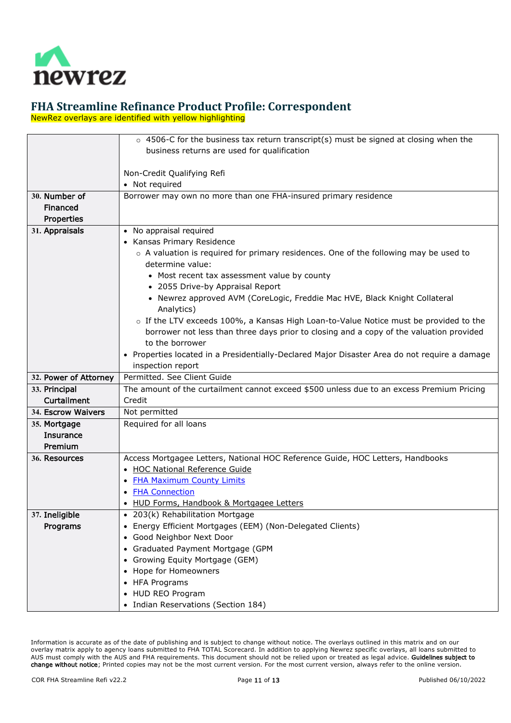

NewRez overlays are identified with yellow highlighting

<span id="page-10-7"></span><span id="page-10-6"></span><span id="page-10-5"></span><span id="page-10-4"></span><span id="page-10-3"></span><span id="page-10-2"></span><span id="page-10-1"></span><span id="page-10-0"></span>

|                       | $\circ$ 4506-C for the business tax return transcript(s) must be signed at closing when the   |
|-----------------------|-----------------------------------------------------------------------------------------------|
|                       | business returns are used for qualification                                                   |
|                       |                                                                                               |
|                       | Non-Credit Qualifying Refi                                                                    |
|                       | • Not required                                                                                |
| 30. Number of         | Borrower may own no more than one FHA-insured primary residence                               |
| Financed              |                                                                                               |
| Properties            |                                                                                               |
| 31. Appraisals        | • No appraisal required                                                                       |
|                       | • Kansas Primary Residence                                                                    |
|                       | $\circ$ A valuation is required for primary residences. One of the following may be used to   |
|                       | determine value:                                                                              |
|                       | • Most recent tax assessment value by county                                                  |
|                       | • 2055 Drive-by Appraisal Report                                                              |
|                       | • Newrez approved AVM (CoreLogic, Freddie Mac HVE, Black Knight Collateral                    |
|                       | Analytics)                                                                                    |
|                       | o If the LTV exceeds 100%, a Kansas High Loan-to-Value Notice must be provided to the         |
|                       | borrower not less than three days prior to closing and a copy of the valuation provided       |
|                       | to the borrower                                                                               |
|                       | • Properties located in a Presidentially-Declared Major Disaster Area do not require a damage |
|                       | inspection report                                                                             |
| 32. Power of Attorney | Permitted, See Client Guide                                                                   |
| 33. Principal         | The amount of the curtailment cannot exceed \$500 unless due to an excess Premium Pricing     |
| Curtailment           | Credit                                                                                        |
| 34. Escrow Waivers    | Not permitted                                                                                 |
| 35. Mortgage          | Required for all loans                                                                        |
| <b>Insurance</b>      |                                                                                               |
| Premium               |                                                                                               |
| 36. Resources         | Access Mortgagee Letters, National HOC Reference Guide, HOC Letters, Handbooks                |
|                       | • HOC National Reference Guide                                                                |
|                       | • FHA Maximum County Limits                                                                   |
|                       | • <b>FHA Connection</b>                                                                       |
|                       | HUD Forms, Handbook & Mortgagee Letters                                                       |
| 37. Ineligible        | • 203(k) Rehabilitation Mortgage                                                              |
| Programs              | Energy Efficient Mortgages (EEM) (Non-Delegated Clients)                                      |
|                       | Good Neighbor Next Door                                                                       |
|                       | Graduated Payment Mortgage (GPM                                                               |
|                       | Growing Equity Mortgage (GEM)                                                                 |
|                       |                                                                                               |
|                       | Hope for Homeowners                                                                           |
|                       | <b>HFA Programs</b>                                                                           |
|                       | HUD REO Program<br>• Indian Reservations (Section 184)                                        |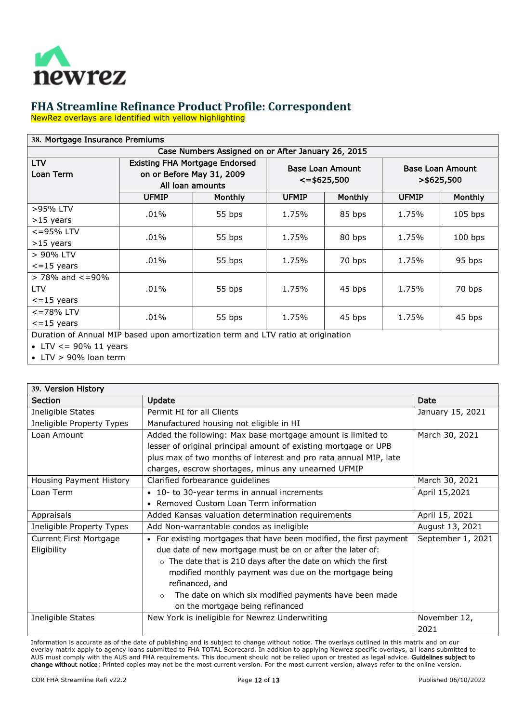

NewRez overlays are identified with yellow highlighting

<span id="page-11-0"></span>

| 38. Mortgage Insurance Premiums                                                  |                                                                                        |                |              |                                              |                                          |                |  |
|----------------------------------------------------------------------------------|----------------------------------------------------------------------------------------|----------------|--------------|----------------------------------------------|------------------------------------------|----------------|--|
| Case Numbers Assigned on or After January 26, 2015                               |                                                                                        |                |              |                                              |                                          |                |  |
| <b>LTV</b><br>Loan Term                                                          | <b>Existing FHA Mortgage Endorsed</b><br>on or Before May 31, 2009<br>All loan amounts |                |              | <b>Base Loan Amount</b><br>$\le$ = \$625,500 | <b>Base Loan Amount</b><br>$>$ \$625,500 |                |  |
|                                                                                  | <b>UFMIP</b>                                                                           | <b>Monthly</b> | <b>UFMIP</b> | <b>Monthly</b>                               | <b>UFMIP</b>                             | <b>Monthly</b> |  |
| >95% LTV<br>>15 years                                                            | .01%                                                                                   | 55 bps         | 1.75%        | 85 bps                                       | 1.75%                                    | $105$ bps      |  |
| <=95% LTV<br>>15 years                                                           | $.01\%$                                                                                | 55 bps         | 1.75%        | 80 bps                                       | 1.75%                                    | $100$ bps      |  |
| > 90% LTV<br>$\epsilon$ =15 years                                                | $.01\%$                                                                                | 55 bps         | 1.75%        | 70 bps                                       | 1.75%                                    | 95 bps         |  |
| $>$ 78% and $\lt$ =90%<br><b>LTV</b><br>$\epsilon$ =15 years                     | $.01\%$                                                                                | 55 bps         | 1.75%        | 45 bps                                       | 1.75%                                    | 70 bps         |  |
| $<$ =78% LTV<br>$\epsilon$ =15 years                                             | .01%                                                                                   | 55 bps         | 1.75%        | 45 bps                                       | 1.75%                                    | 45 bps         |  |
| Duration of Annual MIP based upon amortization term and LTV ratio at origination |                                                                                        |                |              |                                              |                                          |                |  |

• LTV  $\lt$  = 90% 11 years

• LTV > 90% loan term

<span id="page-11-1"></span>

| 39. Version History       |                                                                         |                   |  |  |  |  |
|---------------------------|-------------------------------------------------------------------------|-------------------|--|--|--|--|
| <b>Section</b>            | Update                                                                  | Date              |  |  |  |  |
| Ineligible States         | Permit HI for all Clients                                               | January 15, 2021  |  |  |  |  |
| Ineligible Property Types | Manufactured housing not eligible in HI                                 |                   |  |  |  |  |
| Loan Amount               | Added the following: Max base mortgage amount is limited to             | March 30, 2021    |  |  |  |  |
|                           | lesser of original principal amount of existing mortgage or UPB         |                   |  |  |  |  |
|                           | plus max of two months of interest and pro rata annual MIP, late        |                   |  |  |  |  |
|                           | charges, escrow shortages, minus any unearned UFMIP                     |                   |  |  |  |  |
| Housing Payment History   | Clarified forbearance guidelines                                        | March 30, 2021    |  |  |  |  |
| Loan Term                 | • 10- to 30-year terms in annual increments                             | April 15,2021     |  |  |  |  |
|                           | • Removed Custom Loan Term information                                  |                   |  |  |  |  |
| Appraisals                | Added Kansas valuation determination requirements                       | April 15, 2021    |  |  |  |  |
| Ineligible Property Types | Add Non-warrantable condos as ineligible                                | August 13, 2021   |  |  |  |  |
| Current First Mortgage    | • For existing mortgages that have been modified, the first payment     | September 1, 2021 |  |  |  |  |
| Eligibility               | due date of new mortgage must be on or after the later of:              |                   |  |  |  |  |
|                           | The date that is 210 days after the date on which the first<br>$\Omega$ |                   |  |  |  |  |
|                           | modified monthly payment was due on the mortgage being                  |                   |  |  |  |  |
|                           | refinanced, and                                                         |                   |  |  |  |  |
|                           | The date on which six modified payments have been made<br>$\Omega$      |                   |  |  |  |  |
|                           | on the mortgage being refinanced                                        |                   |  |  |  |  |
| Ineligible States         | New York is ineligible for Newrez Underwriting                          | November 12,      |  |  |  |  |
|                           |                                                                         | 2021              |  |  |  |  |